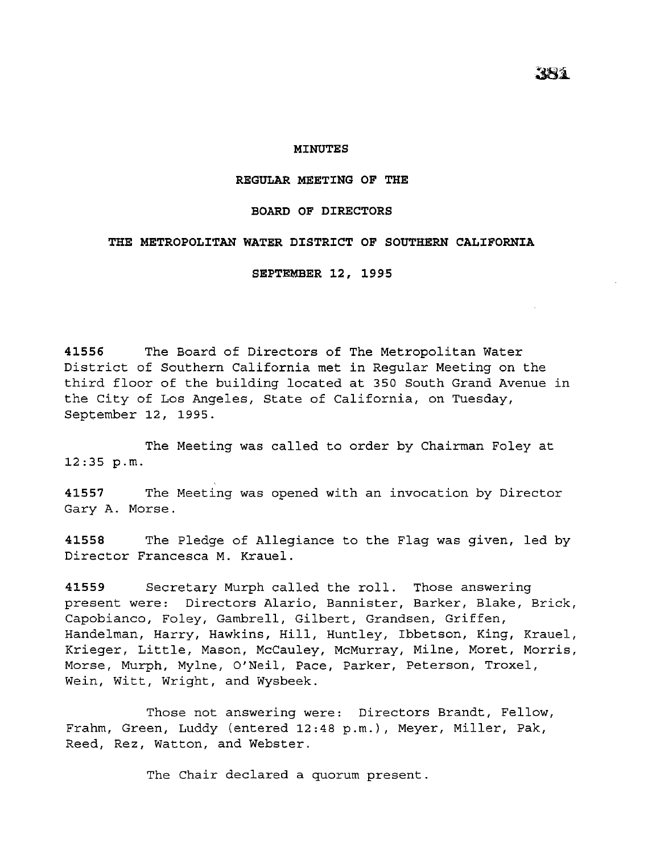## **MINUTES**

## **REGULAR MEETING OF THE**

## **BOARD OF DIRECTORS**

## **THE METROPOLITAN WATER DISTRICT OF SOUTHERN CALIFORNIA**

**SEPTEMBER 12, 1995** 

**41556** The Board of Directors of The Metropolitan Water District of Southern California met in Regular Meeting on the third floor of the building located at 350 South Grand Avenue in the City of Los Angeles, State of California, on Tuesday, September 12, 1995.

The Meeting was called to order by Chairman Foley at 12:35 p.m.

**41557** The Meeting was opened with an invocation by Director Gary A. Morse.

**41558** The Pledge of Allegiance to the Flag was given, led by Director Francesca M. Krauel.

**41559** Secretary Murph called the roll. Those answering present were: Directors Alario, Bannister, Barker, Blake, Brick, Capobianco, Foley, Gambrell, Gilbert, Grandsen, Griffen, Handelman, Harry, Hawkins, Hill, Huntley, Ibbetson, King, Krauel, Krieger, Little, Mason, McCauley, McMurray, Milne, Moret, Morris, Morse, Murph, Mylne, O'Neil, Pace, Parker, Peterson, Troxel, Wein, Witt, Wright, and Wysbeek.

Those not answering were: Directors Brandt, Fellow, Frahm, Green, Luddy (entered 12:48 p.m.), Meyer, Miller, Pak, Reed, Rez, Watton, and Webster.

The Chair declared a quorum present.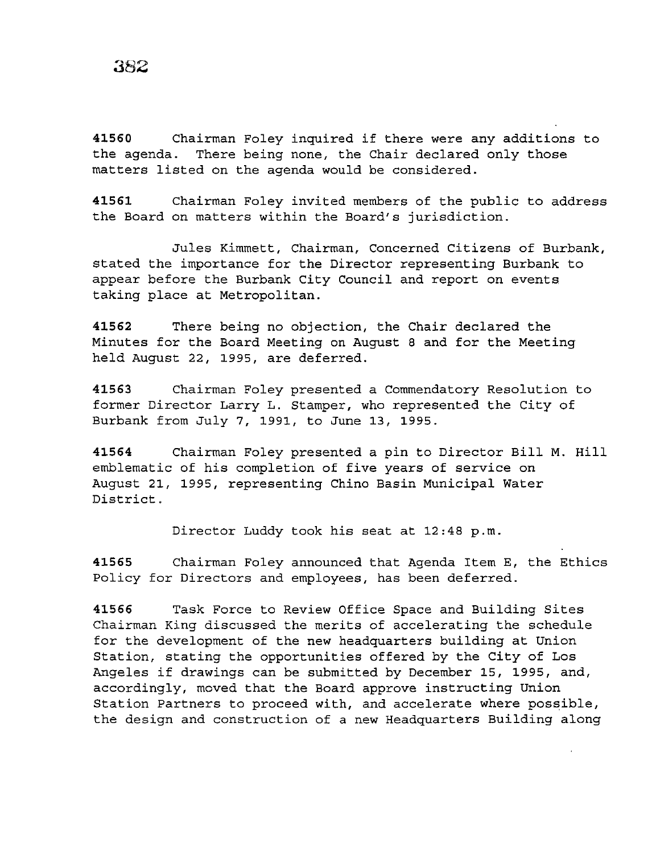**<sup>41560</sup>**Chairman Foley inquired if there were any additions to the agenda. There being none, the Chair declared only those matters listed on the agenda would be considered.

**41561** Chairman Foley invited members of the public to address the Board on matters within the Board's jurisdiction.

Jules Kimmett, Chairman, Concerned Citizens of Burbank, stated the importance for the Director representing Burbank to appear before the Burbank City Council and report on events taking place at Metropolitan.

**41562** There being no objection, the Chair declared the Minutes for the Board Meeting on August 8 and for the Meeting held August 22, 1995, are deferred.

**41563** Chairman Foley presented a Commendatory Resolution to former Director Larry L. Stamper, who represented the City of Burbank from July 7, 1991, to June 13, 1995.

**41564** Chairman Foley presented a pin to Director Bill M. Hill emblematic of his completion of five years of service on August 21, 1995, representing Chino Basin Municipal Water District.

Director Luddy took his seat at 12:48 p.m.

**41565** Chairman Foley announced that Agenda Item E, the Ethics Policy for Directors and employees, has been deferred.

**41566** Task Force to Review Office Space and Building Sites Chairman King discussed the merits of accelerating the schedule for the development of the new headquarters building at Union Station, stating the opportunities offered by the City of Los Angeles if drawings can be submitted by December 15, 1995, and, accordingly, moved that the Board approve instructing Union Station Partners to proceed with, and accelerate where possible, the design and construction of a new Headquarters Building along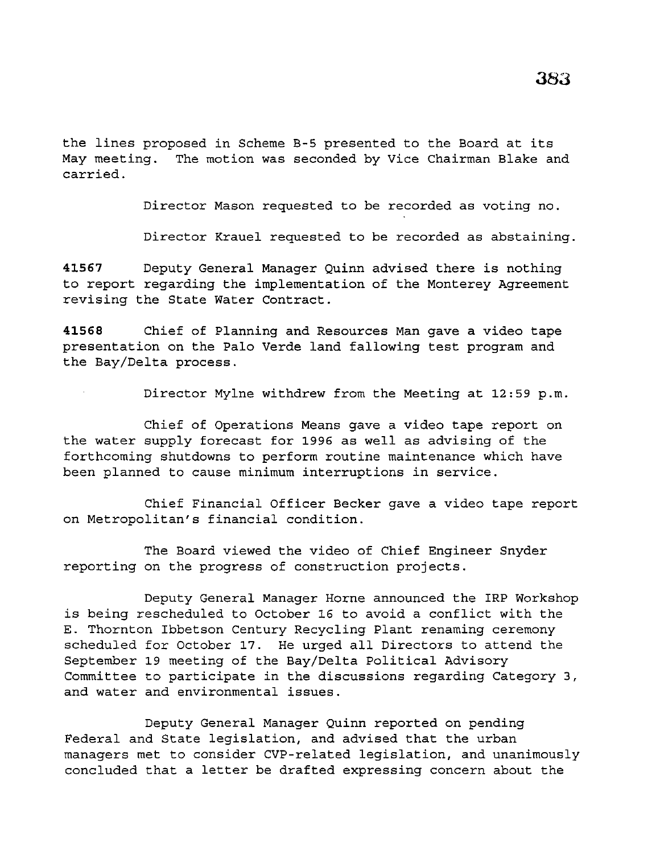the lines proposed in Scheme B-5 presented to the Board at its May meeting. The motion was seconded by Vice Chairman Blake and carried.

Director Mason requested to be recorded as voting no.

Director Krauel requested to be recorded as abstaining.

**41567** Deputy General Manager Quinn advised there is nothing to report regarding the implementation of the Monterey Agreement revising the State Water Contract.

**41568** Chief of Planning and Resources Man gave a video tape presentation on the Palo Verde land fallowing test program and the Bay/Delta process.

Director Mylne withdrew from the Meeting at 12:59 p.m.

Chief of Operations Means gave a video tape report on the water supply forecast for 1996 as well as advising of the forthcoming shutdowns to perform routine maintenance which have been planned to cause minimum interruptions *in* service.

Chief Financial Officer Becker gave a video tape report on Metropolitan's financial condition.

The Board viewed the video of Chief Engineer Snyder reporting on the progress of construction projects.

Deputy General Manager Horne announced the IRP Workshop is being rescheduled to October 16 to avoid a conflict with the E. Thornton Ibbetson Century Recycling Plant renaming ceremony scheduled for October 17. He urged all Directors to attend the September 19 meeting of the Bay/Delta Political Advisory Committee to participate in the discussions regarding Category 3, and water and environmental issues.

Deputy General Manager Quinn reported on pending Federal and State legislation, and advised that the urban managers met to consider CVP-related legislation, and unanimously concluded that a letter be drafted expressing concern about the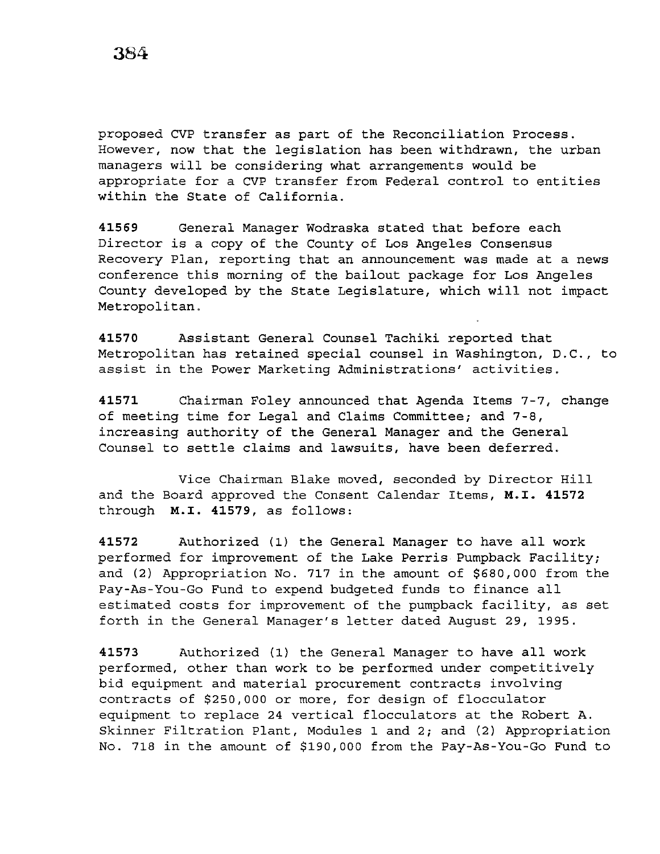proposed CVP transfer as part of the Reconciliation Process. However, now that the legislation has been withdrawn, the urban managers will be considering what arrangements would be appropriate for a CVP transfer from Federal control to entities within the State of California.

**41569** General Manager Wodraska stated that before each Director is a copy of the County of Los Angeles Consensus Recovery Plan, reporting that an announcement was made at a news conference this morning of the bailout package for Los Angeles County developed by the State Legislature, which will not impact Metropolitan.

**41570** Assistant General Counsel Tachiki reported that Metropolitan has retained special counsel in Washington, D.C., to assist in the Power Marketing Administrations' activities.

**41571** Chairman Foley announced that Agenda Items 7-7, change of meeting time for Legal and Claims Committee; and 7-8, increasing authority of the General Manager and the General Counsel to settle claims and lawsuits, have been deferred.

and the Board approved the Consent Calendar Items, **M.I. 41572**  through **M.I. 41579,** as follows: Vice Chairman Blake moved, seconded by Director Hill

**<sup>41572</sup>**Authorized (1) the General Manager to have all work performed for improvement of the Lake Perris Pumpback Facility; and (2) Appropriation No. 717 in the amount of \$680,000 from the Pay-As-You-Go Fund to expend budgeted funds to finance all estimated costs for improvement of the pumpback facility, as set forth in the General Manager's letter dated August 29, 1995.

**<sup>41573</sup>**Authorized (1) the General Manager to have all work performed, other than work to be performed under competitively bid equipment and material procurement contracts involving contracts of \$250,000 or more, for design of flocculator equipment to replace 24 vertical flocculators at the Robert A. Skinner Filtration Plant, Modules 1 and 2; and (2) Appropriation No. 718 in the amount of \$190,000 from the Pay-As-You-Go Fund to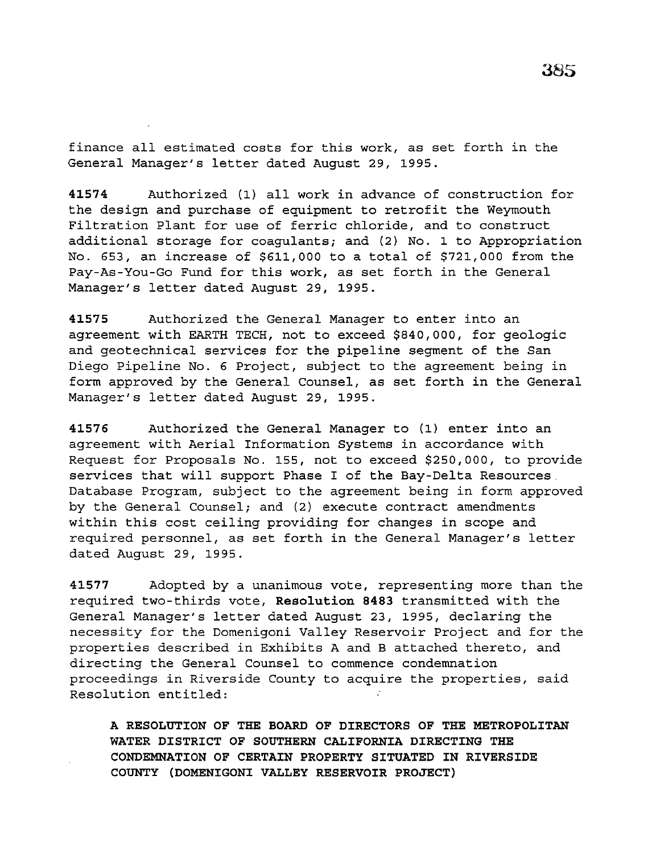finance all estimated costs for this work, as set forth in the General Manager's letter dated August 29, 1995.

**41574** Authorized (1) all work in advance of construction for the design and purchase of equipment to retrofit the Weymouth Filtration Plant for use of ferric chloride, and to construct additional storage for coagulants; and (2) No. 1 to Appropriation No. 653, an increase of \$611,000 to a total of \$721,000 from the Pay-As-You-Go Fund for this work, as set forth in the General Manager's letter dated August 29, 1995.

**41575** Authorized the General Manager to enter into an agreement with EARTH TECH, not to exceed \$840,000, for geologic and geotechnical services for the pipeline segment of the San Diego Pipeline No. 6 Project, subject to the agreement being in form approved by the General Counsel, as set forth in the General Manager's letter dated August 29, 1995.

**41576** Authorized the General Manager to (1) enter into an agreement with Aerial Information Systems in accordance with Request for Proposals No. 155, not to exceed \$250,000, to provide services that will support Phase I of the Bay-Delta Resources. Database Program, subject to the agreement being in form approved by the General Counsel; and (2) execute contract amendments within this cost ceiling providing for changes in scope and required personnel, as set forth in the General Manager's letter dated August 29, 1995.

**41577** Adopted by a unanimous vote, representing more than the required two-thirds vote, **Resolution 8483** transmitted with the General Manager's letter dated August 23, 1995, declaring the necessity for the Domenigoni Valley Reservoir Project and for the properties described in Exhibits A and B attached thereto, and directing the General Counsel to commence condemnation proceedings in Riverside County to acquire the properties, said Resolution entitled:

**A RESOLUTION OF THE BOARD OF DIRECTORS OF THE METROPOLITAN WATER DISTRICT OF SOUTHERN CALIFORNIA DIRECTING THE CONDEMNATION OF CERTAIN PROPERTY SITUATED IN RIVERSIDE COUNTY (DOMENIGONI VALLEY RESERVOIR PROJECT)**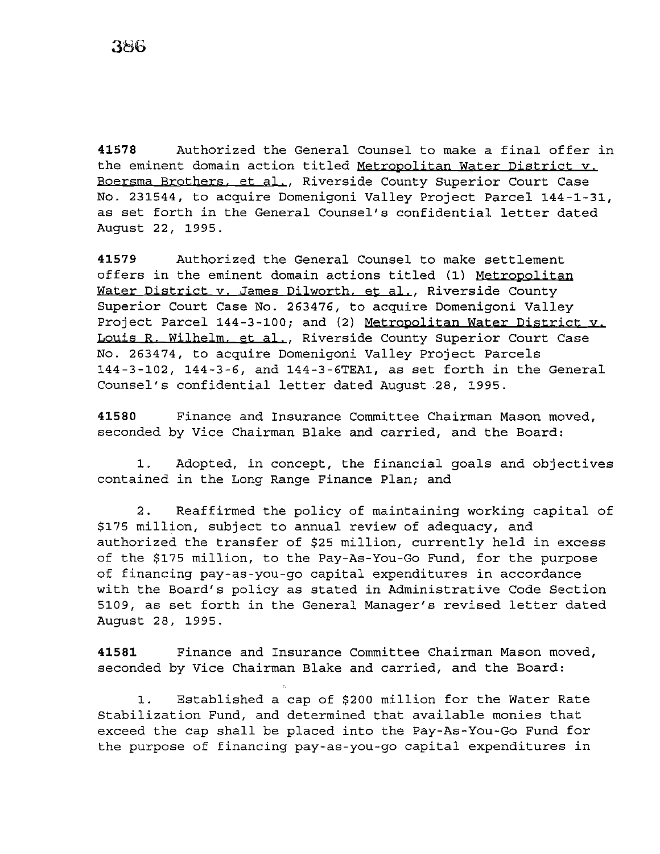**41578** Authorized the General Counsel to make a final offer in the eminent domain action titled Metropolitan Water District v. Boersma Brothers. et al., Riverside County Superior Court Case No. 231544, to acquire Domenigoni Valley Project Parcel 144-1-31, as set forth in the General Counsel's confidential letter dated August 22, 1995.

**41579** Authorized the General Counsel to make settlement offers in the eminent domain actions titled (1) Metropolitan Water District y. James Dilworth. et al., Riverside County Superior Court Case No. 263476, to acquire Domenigoni Valley Project Parcel 144-3-100; and (2) Metropolitan Water District v. Louis R. Wilhelm. et al., Riverside County Superior Court Case No. 263474, to acquire Domenigoni Valley Project Parcels 144-3-102, 144-3-6, and 144-3-6TEA1, as set forth in the General Counsel's confidential letter dated August 28, 1995.

**41580** Finance and Insurance Committee Chairman Mason moved, seconded by Vice Chairman Blake and carried, and the Board:

1. Adopted, in concept, the financial goals and objectives contained in the Long Range Finance Plan; and

2. Reaffirmed the policy of maintaining working capital of \$175 million, subject to annual review of adequacy, and authorized the transfer of \$25 million, currently held in excess of the \$175 million, to the Pay-As-You-Go Fund, for the purpose of financing pay-as-you-go capital expenditures in accordance with the Board's policy as stated in Administrative Code Section 5109, as set forth in the General Manager's revised letter dated August 28, 1995.

**41581** Finance and Insurance Committee Chairman Mason moved, seconded by Vice Chairman Blake and carried, and the Board:

1. Established a cap of \$200 million for the Water Rate Stabilization Fund, and determined that available monies that exceed the cap shall be placed into the Pay-As-You-Go Fund for the purpose of financing pay-as-you-go capital expenditures in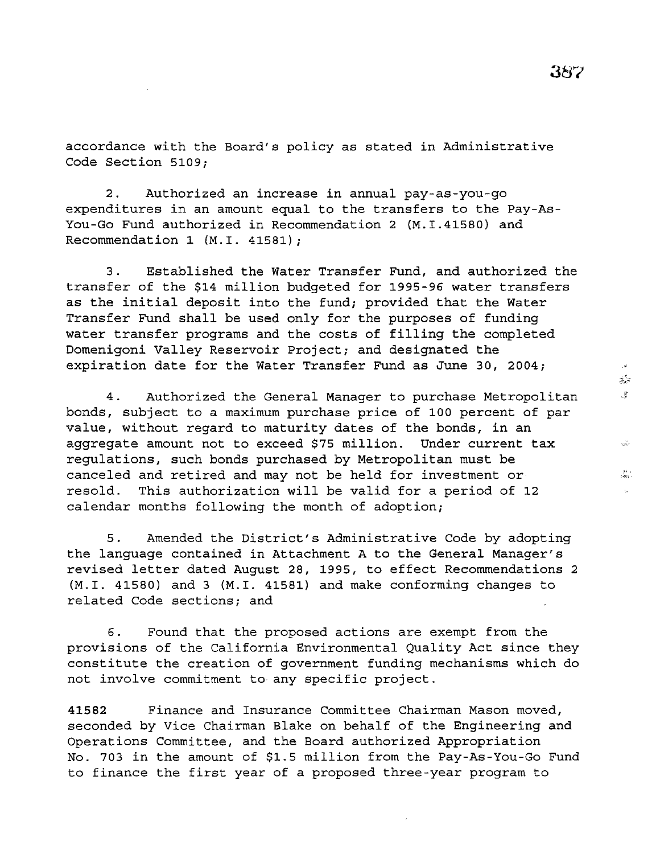accordance with the Board's policy as stated in Administrative Code Section 5109;

2. Authorized an increase in annual pay-as-you-go expenditures in an amount equal to the transfers to the Pay-As-You-Go Fund authorized in Recommendation 2 (M.I.41580) and Recommendation 1 (M.I. 41581);

3. Established the Water Transfer Fund, and authorized the transfer of the \$14 million budgeted for 1995-96 water transfers as the initial deposit into the fund; provided that the Water Transfer Fund shall be used only for the purposes of funding water transfer programs and the costs of filling the completed Domenigoni Valley Reservoir Project; and designated the expiration date for the Water Transfer Fund as June 30, 2004;

4. Authorized the General Manager to purchase Metropolitan bonds, subject to a maximum purchase price of 100 percent of par value, without regard to maturity dates of the bonds, in an aggregate amount not to exceed \$75 million. Under current tax regulations, such bonds purchased by Metropolitan must be canceled and retired and may not be held for investment or resold. This authorization will be valid for a period of 12 calendar months following the month of adoption;

5. Amended the District's Administrative Code by adopting the language contained in Attachment A to the General Manager's revised letter dated August 28, 1995, to effect Recommendations 2 (M.I. 41580) and 3 (M.I. 41581) and make conforming changes to related Code sections; and

6. Found that the proposed actions are exempt from the provisions of the California Environmental Quality Act since they constitute the creation of government funding mechanisms which do not involve commitment to any specific project.

**41582** Finance and Insurance Committee Chairman Mason moved, seconded by Vice Chairman Blake on behalf of the Engineering and Operations Committee, and the Board authorized Appropriation No. 703 in the amount of \$1.5 million from the Pay-As-You-Go Fund to finance the first year of a proposed three-year program to

 $\mathbb{Z}^{\mathbb{Z}_N}_{\mathbb{Z}^2}$ 3  $\frac{1}{16860}$  $\frac{25}{5-26}$  .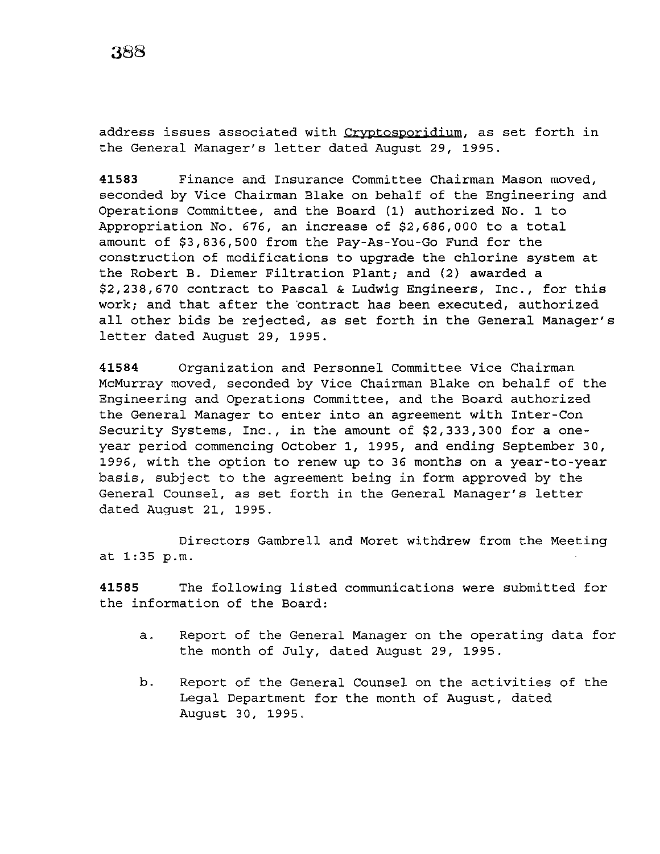address issues associated with Cryptosporidium, as set forth in the General Manager's letter dated August 29, 1995.

**41583** Finance and Insurance Committee Chairman Mason moved, seconded by Vice Chairman Blake on behalf of the Engineering and Operations Committee, and the Board (1) authorized No. 1 to Appropriation No. 676, an increase of \$2,686,000 to a total amount of \$3,836,500 from the Pay-As-You-Go Fund for the construction of modifications to upgrade the chlorine system at the Robert B. Diemer Filtration Plant; and (2) awarded a \$2,238,670 contract to Pascal & Ludwig Engineers, Inc., for this work; and that after the 'contract has been executed, authorized all other bids be rejected, as set forth in the General Manager's letter dated August 29, 1995.

**41584** Organization and Personnel Committee Vice Chairman McMurray moved, seconded by Vice Chairman Blake on behalf of the Engineering and Operations Committee, and the Board authorized the General Manager to enter into an agreement with Inter-Con Security Systems, Inc., in the amount of \$2,333,300 for a oneyear period commencing October 1, 1995, and ending September 30, 1996, with the option to renew up to 36 months on a year-to-year basis, subject to the agreement being in form approved by the General Counsel, as set forth in the General Manager's letter dated August 21, 1995.

Directors Gambrell and Moret withdrew from the Meeting at 1:35 p.m.

**41585** The following listed communications were submitted for the information of the Board:

- a. Report of the General Manager on the operating data for the month of July, dated August 29, 1995.
- b. Report of the General Counsel on the activities of the Legal Department for the month of August, dated August 30, 1995.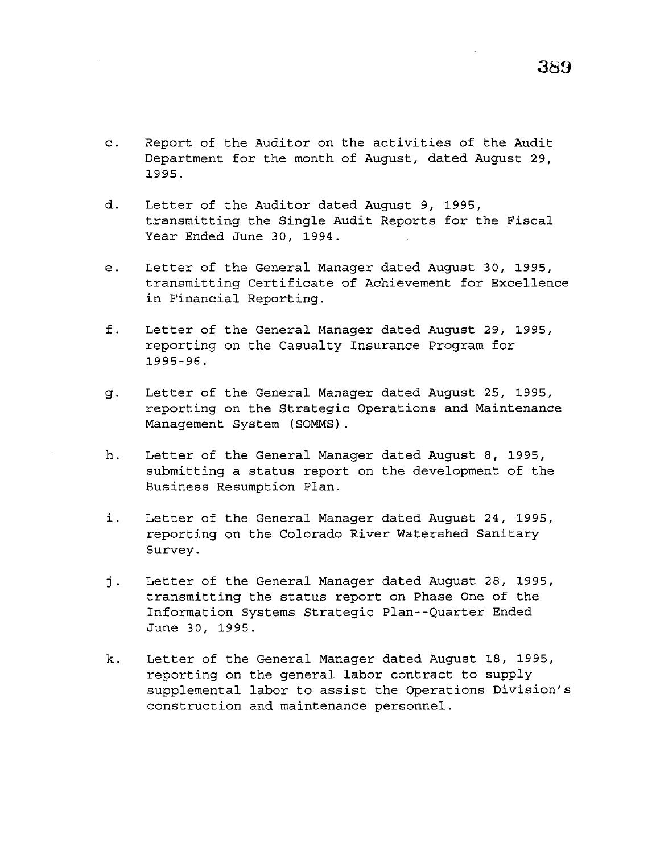- Department for the month of August, dated August 29, 1995.
- d. Letter of the Auditor dated August 9, 1995, transmitting the Single Audit Reports for the Fiscal Year Ended June 30, 1994.
- e. Letter of the General Manager dated August 30, 1995, transmitting Certificate of Achievement for Excellence in Financial Reporting.
- f. Letter of the General Manager dated August 29, 1995, reporting on the Casualty Insurance Program for 1995-96.
- g. Letter of the General Manager dated August 25, 1995, reporting on the Strategic Operations and Maintenance Management System (SOMMS) .
- h. Letter of the General Manager dated August 8, 1995, submitting a status report on the development of the Business Resumption Plan.
- i. Letter of the General Manager dated August 24, 1995, reporting on the Colorado River Watershed Sanitary Survey.
- j. Letter of the General Manager dated August 28, 1995, transmitting the status report on Phase One of the Information Systems Strategic Plan--Quarter Ended June 30, 1995.
- k. Letter of the General Manager dated August 18, 1995, reporting on the general labor contract to supply supplemental labor to assist the Operations Division's construction and maintenance personnel.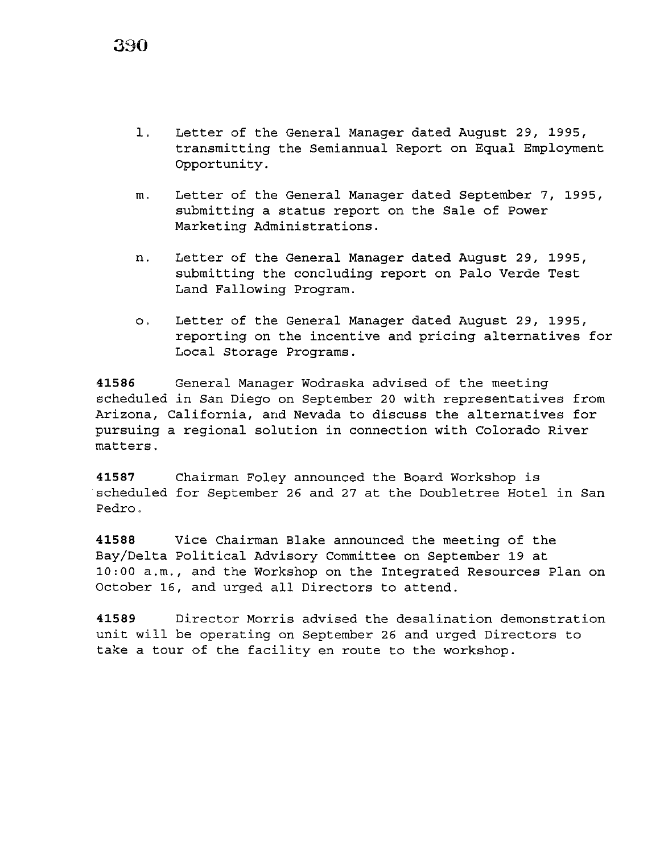1. Letter of the General Manager dated August 29, 1995, transmitting the Semiannual Report on Equal Employment Opportunity.

- m. Letter of the General Manager dated September 7, 1995, submitting a status report on the Sale of Power Marketing Administrations.
- n. Letter of the General Manager dated August 29, 1995, submitting the concluding report on Palo Verde Test Land Fallowing Program.
- o. Letter of the General Manager dated August 29, 1995, reporting on the incentive and pricing alternatives for Local Storage Programs.

**41586** General Manager Wodraska advised of the meeting scheduled in San Diego on September 20 with representatives from Arizona, California, and Nevada to discuss the alternatives for pursuing a regional solution in connection with Colorado River matters.

**41587** Chairman Foley announced the Board Workshop is scheduled for September 26 and 27 at the Doubletree Hotel in San Pedro.

**41588** Vice Chairman Blake announced the meeting of the Bay/Delta Political Advisory Committee on September 19 at 10:00 a.m., and the Workshop on the Integrated Resources Plan on October 16, and urged all Directors to attend.

**41589** Director Morris advised the desalination demonstration unit will be operating on September 26 and urged Directors to take a tour of the facility en route to the workshop.

**390**